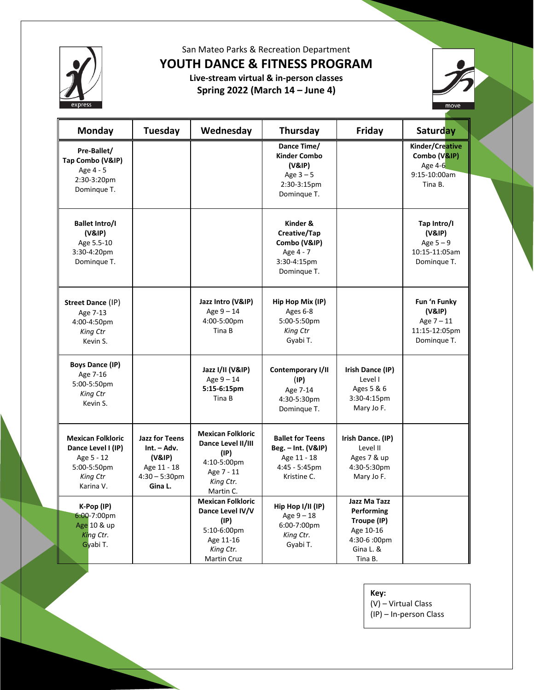

San Mateo Parks & Recreation Department

**YOUTH DANCE & FITNESS PROGRAM**

**Live-stream virtual & in-person classes Spring 2022 (March 14 – June 4)** 



| Monday                                                                                               | Tuesday                                                                                        | Wednesday                                                                                                           | Thursday                                                                                        | Friday                                                                                         | <b>Saturday</b>                                                        |
|------------------------------------------------------------------------------------------------------|------------------------------------------------------------------------------------------------|---------------------------------------------------------------------------------------------------------------------|-------------------------------------------------------------------------------------------------|------------------------------------------------------------------------------------------------|------------------------------------------------------------------------|
| Pre-Ballet/<br>Tap Combo (V&IP)<br>Age 4 - 5<br>2:30-3:20pm<br>Domingue T.                           |                                                                                                |                                                                                                                     | Dance Time/<br><b>Kinder Combo</b><br>(V&IP)<br>Age $3-5$<br>2:30-3:15pm<br>Dominque T.         |                                                                                                | Kinder/Creative<br>Combo (V&IP)<br>Age 4-6<br>9:15-10:00am<br>Tina B.  |
| <b>Ballet Intro/I</b><br>(V&IP)<br>Age 5.5-10<br>3:30-4:20pm<br>Domingue T.                          |                                                                                                |                                                                                                                     | Kinder &<br>Creative/Tap<br>Combo (V&IP)<br>Age 4 - 7<br>3:30-4:15pm<br>Domingue T.             |                                                                                                | Tap Intro/I<br>(V&IP)<br>Age $5-9$<br>10:15-11:05am<br>Domingue T.     |
| Street Dance (IP)<br>Age 7-13<br>4:00-4:50pm<br>King Ctr<br>Kevin S.                                 |                                                                                                | Jazz Intro (V&IP)<br>Age $9-14$<br>4:00-5:00pm<br>Tina B                                                            | Hip Hop Mix (IP)<br>Ages 6-8<br>5:00-5:50pm<br>King Ctr<br>Gyabi T.                             |                                                                                                | Fun 'n Funky<br>(V&IP)<br>Age $7 - 11$<br>11:15-12:05pm<br>Dominque T. |
| <b>Boys Dance (IP)</b><br>Age 7-16<br>5:00-5:50pm<br>King Ctr<br>Kevin S.                            |                                                                                                | Jazz I/II (V&IP)<br>Age $9 - 14$<br>5:15-6:15pm<br>Tina B                                                           | Contemporary I/II<br>(IP)<br>Age 7-14<br>4:30-5:30pm<br>Domingue T.                             | Irish Dance (IP)<br>Level I<br>Ages 5 & 6<br>3:30-4:15pm<br>Mary Jo F.                         |                                                                        |
| <b>Mexican Folkloric</b><br>Dance Level I (IP)<br>Age 5 - 12<br>5:00-5:50pm<br>King Ctr<br>Karina V. | <b>Jazz for Teens</b><br>$Int. - Adv.$<br>(V&IP)<br>Age 11 - 18<br>$4:30 - 5:30$ pm<br>Gina L. | <b>Mexican Folkloric</b><br>Dance Level II/III<br>(IP)<br>4:10-5:00pm<br>Age 7 - 11<br>King Ctr.<br>Martin C.       | <b>Ballet for Teens</b><br>Beg. - Int. (V&IP)<br>Age 11 - 18<br>$4:45 - 5:45$ pm<br>Kristine C. | Irish Dance. (IP)<br>Level II<br>Ages 7 & up<br>4:30-5:30pm<br>Mary Jo F.                      |                                                                        |
| K-Pop (IP)<br>6:00-7:00pm<br>Age 10 & up<br>King Ctr.<br>Gyabi T.                                    |                                                                                                | <b>Mexican Folkloric</b><br>Dance Level IV/V<br>(IP)<br>5:10-6:00pm<br>Age 11-16<br>King Ctr.<br><b>Martin Cruz</b> | Hip Hop I/II (IP)<br>Age $9 - 18$<br>6:00-7:00pm<br>King Ctr.<br>Gyabi T.                       | Jazz Ma Tazz<br>Performing<br>Troupe (IP)<br>Age 10-16<br>4:30-6 :00pm<br>Gina L. &<br>Tina B. |                                                                        |

### **Key:**

(V) – Virtual Class

(IP) – In-person Class